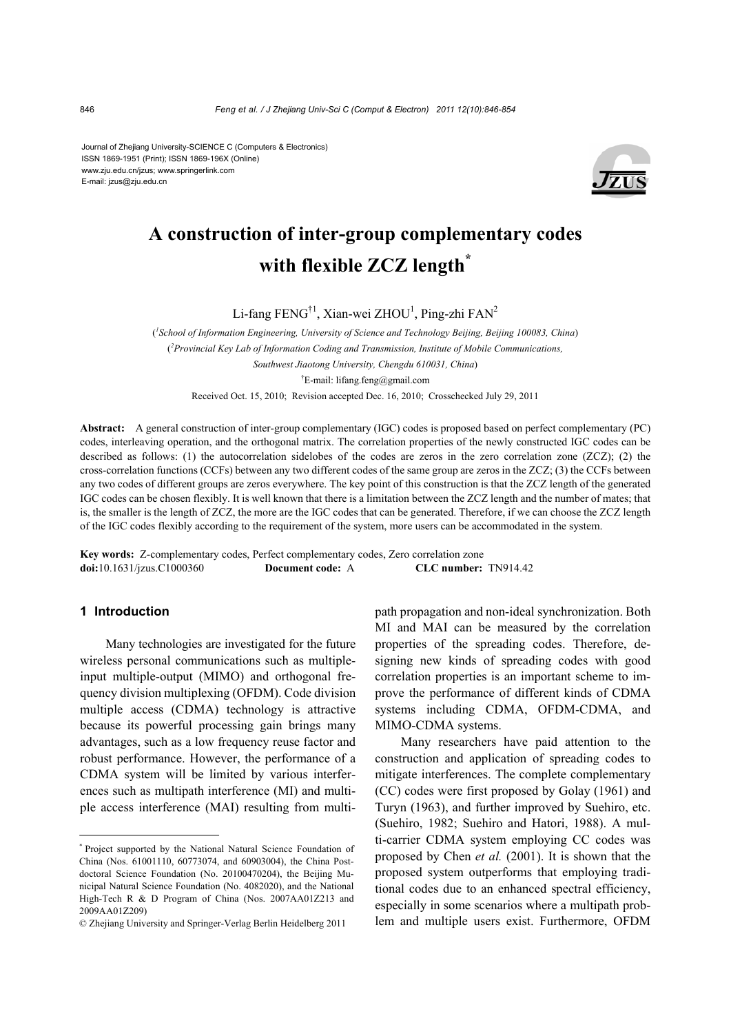Journal of Zhejiang University-SCIENCE C (Computers & Electronics) ISSN 1869-1951 (Print); ISSN 1869-196X (Online) www.zju.edu.cn/jzus; www.springerlink.com E-mail: jzus@zju.edu.cn



# **A construction of inter-group complementary codes with flexible ZCZ length\***

Li-fang FENG<sup>†1</sup>, Xian-wei ZHOU<sup>1</sup>, Ping-zhi FAN<sup>2</sup>

( *1 School of Information Engineering, University of Science and Technology Beijing, Beijing 100083, China*) ( *2 Provincial Key Lab of Information Coding and Transmission, Institute of Mobile Communications, Southwest Jiaotong University, Chengdu 610031, China*) † E-mail: lifang.feng@gmail.com Received Oct. 15, 2010; Revision accepted Dec. 16, 2010; Crosschecked July 29, 2011

**Abstract:** A general construction of inter-group complementary (IGC) codes is proposed based on perfect complementary (PC) codes, interleaving operation, and the orthogonal matrix. The correlation properties of the newly constructed IGC codes can be described as follows: (1) the autocorrelation sidelobes of the codes are zeros in the zero correlation zone (ZCZ); (2) the cross-correlation functions (CCFs) between any two different codes of the same group are zeros in the ZCZ; (3) the CCFs between any two codes of different groups are zeros everywhere. The key point of this construction is that the ZCZ length of the generated IGC codes can be chosen flexibly. It is well known that there is a limitation between the ZCZ length and the number of mates; that is, the smaller is the length of ZCZ, the more are the IGC codes that can be generated. Therefore, if we can choose the ZCZ length of the IGC codes flexibly according to the requirement of the system, more users can be accommodated in the system.

**Key words:** Z-complementary codes, Perfect complementary codes, Zero correlation zone **doi:**10.1631/jzus.C1000360 **Document code:** A **CLC number:** TN914.42

# **1 Introduction**

Many technologies are investigated for the future wireless personal communications such as multipleinput multiple-output (MIMO) and orthogonal frequency division multiplexing (OFDM). Code division multiple access (CDMA) technology is attractive because its powerful processing gain brings many advantages, such as a low frequency reuse factor and robust performance. However, the performance of a CDMA system will be limited by various interferences such as multipath interference (MI) and multiple access interference (MAI) resulting from multipath propagation and non-ideal synchronization. Both MI and MAI can be measured by the correlation properties of the spreading codes. Therefore, designing new kinds of spreading codes with good correlation properties is an important scheme to improve the performance of different kinds of CDMA systems including CDMA, OFDM-CDMA, and MIMO-CDMA systems.

Many researchers have paid attention to the construction and application of spreading codes to mitigate interferences. The complete complementary (CC) codes were first proposed by Golay (1961) and Turyn (1963), and further improved by Suehiro, etc. (Suehiro, 1982; Suehiro and Hatori, 1988). A multi-carrier CDMA system employing CC codes was proposed by Chen *et al.* (2001). It is shown that the proposed system outperforms that employing traditional codes due to an enhanced spectral efficiency, especially in some scenarios where a multipath problem and multiple users exist. Furthermore, OFDM

<sup>\*</sup> Project supported by the National Natural Science Foundation of China (Nos. 61001110, 60773074, and 60903004), the China Postdoctoral Science Foundation (No. 20100470204), the Beijing Municipal Natural Science Foundation (No. 4082020), and the National High-Tech R & D Program of China (Nos. 2007AA01Z213 and 2009AA01Z209)

<sup>©</sup> Zhejiang University and Springer-Verlag Berlin Heidelberg 2011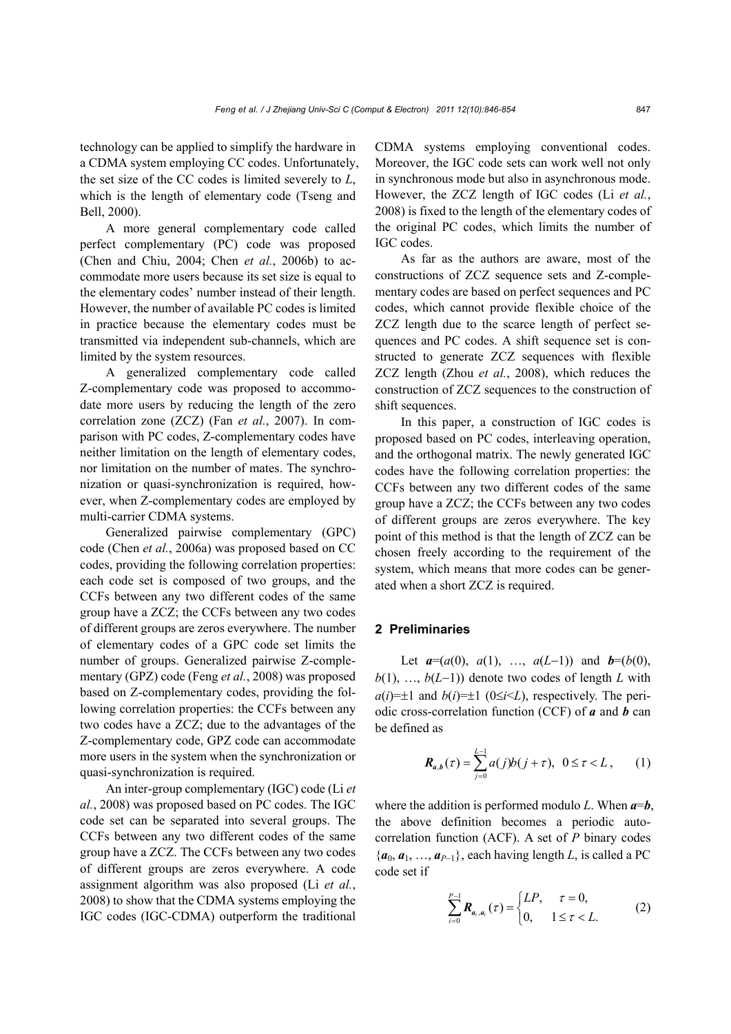technology can be applied to simplify the hardware in a CDMA system employing CC codes. Unfortunately, the set size of the CC codes is limited severely to *L*, which is the length of elementary code (Tseng and Bell, 2000).

A more general complementary code called perfect complementary (PC) code was proposed (Chen and Chiu, 2004; Chen *et al.*, 2006b) to accommodate more users because its set size is equal to the elementary codes' number instead of their length. However, the number of available PC codes is limited in practice because the elementary codes must be transmitted via independent sub-channels, which are limited by the system resources.

A generalized complementary code called Z-complementary code was proposed to accommodate more users by reducing the length of the zero correlation zone (ZCZ) (Fan *et al.*, 2007). In comparison with PC codes, Z-complementary codes have neither limitation on the length of elementary codes, nor limitation on the number of mates. The synchronization or quasi-synchronization is required, however, when Z-complementary codes are employed by multi-carrier CDMA systems.

Generalized pairwise complementary (GPC) code (Chen *et al.*, 2006a) was proposed based on CC codes, providing the following correlation properties: each code set is composed of two groups, and the CCFs between any two different codes of the same group have a ZCZ; the CCFs between any two codes of different groups are zeros everywhere. The number of elementary codes of a GPC code set limits the number of groups. Generalized pairwise Z-complementary (GPZ) code (Feng *et al.*, 2008) was proposed based on Z-complementary codes, providing the following correlation properties: the CCFs between any two codes have a ZCZ; due to the advantages of the Z-complementary code, GPZ code can accommodate more users in the system when the synchronization or quasi-synchronization is required.

An inter-group complementary (IGC) code (Li *et al.*, 2008) was proposed based on PC codes. The IGC code set can be separated into several groups. The CCFs between any two different codes of the same group have a ZCZ. The CCFs between any two codes of different groups are zeros everywhere. A code assignment algorithm was also proposed (Li *et al.*, 2008) to show that the CDMA systems employing the IGC codes (IGC-CDMA) outperform the traditional CDMA systems employing conventional codes. Moreover, the IGC code sets can work well not only in synchronous mode but also in asynchronous mode. However, the ZCZ length of IGC codes (Li *et al.*, 2008) is fixed to the length of the elementary codes of the original PC codes, which limits the number of IGC codes.

As far as the authors are aware, most of the constructions of ZCZ sequence sets and Z-complementary codes are based on perfect sequences and PC codes, which cannot provide flexible choice of the ZCZ length due to the scarce length of perfect sequences and PC codes. A shift sequence set is constructed to generate ZCZ sequences with flexible ZCZ length (Zhou *et al.*, 2008), which reduces the construction of ZCZ sequences to the construction of shift sequences.

In this paper, a construction of IGC codes is proposed based on PC codes, interleaving operation, and the orthogonal matrix. The newly generated IGC codes have the following correlation properties: the CCFs between any two different codes of the same group have a ZCZ; the CCFs between any two codes of different groups are zeros everywhere. The key point of this method is that the length of ZCZ can be chosen freely according to the requirement of the system, which means that more codes can be generated when a short ZCZ is required.

### **2 Preliminaries**

Let  $a=(a(0), a(1), \ldots, a(L-1))$  and  $b=(b(0),$  $b(1), \ldots, b(L-1)$  denote two codes of length *L* with  $a(i)=\pm 1$  and  $b(i)=\pm 1$  (0 $\le i \le L$ ), respectively. The periodic cross-correlation function (CCF) of *a* and *b* can be defined as

$$
\mathbf{R}_{a,b}(\tau) = \sum_{j=0}^{L-1} a(j)b(j+\tau), \ \ 0 \le \tau < L \,, \tag{1}
$$

where the addition is performed modulo *L*. When *a*=*b*, the above definition becomes a periodic autocorrelation function (ACF). A set of *P* binary codes  ${a_0, a_1, ..., a_{P-1}}$ , each having length *L*, is called a PC code set if

$$
\sum_{i=0}^{P-1} \mathbf{R}_{a_i, a_i}(\tau) = \begin{cases} LP, & \tau = 0, \\ 0, & 1 \le \tau < L. \end{cases}
$$
 (2)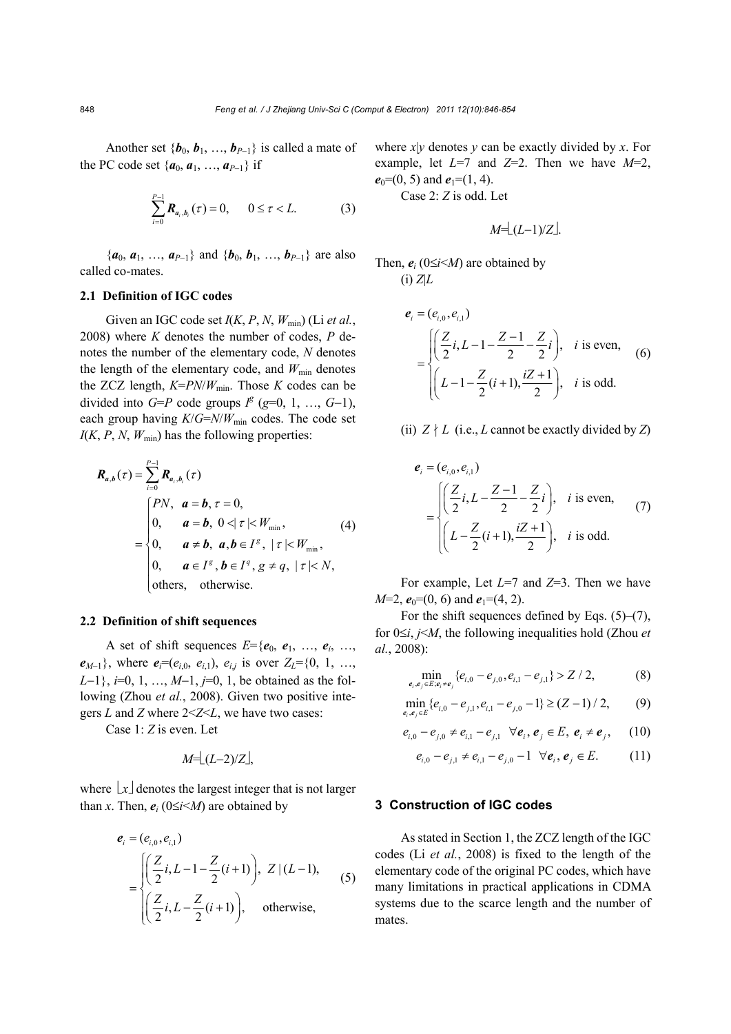Another set  ${\boldsymbol{b}_0, b_1, ..., b_{P-1}}$  is called a mate of the PC code set  $\{a_0, a_1, ..., a_{P-1}\}\$ if

$$
\sum_{i=0}^{P-1} \bm{R}_{a_i, b_i}(\tau) = 0, \qquad 0 \le \tau < L. \tag{3}
$$

 ${a_0, a_1, ..., a_{P-1}}$  and  ${b_0, b_1, ..., b_{P-1}}$  are also called co-mates.

#### **2.1 Definition of IGC codes**

Given an IGC code set  $I(K, P, N, W_{min})$  (Li *et al.*, 2008) where *K* denotes the number of codes, *P* denotes the number of the elementary code, *N* denotes the length of the elementary code, and  $W_{\text{min}}$  denotes the ZCZ length,  $K=PN/W_{min}$ . Those *K* codes can be divided into  $G = P$  code groups  $I^g$  ( $g=0, 1, ..., G-1$ ), each group having  $K/G=N/W_{\text{min}}$  codes. The code set  $I(K, P, N, W_{min})$  has the following properties:

$$
\mathbf{R}_{a,b}(\tau) = \sum_{i=0}^{P-1} \mathbf{R}_{a_i, b_i}(\tau)
$$
\n
$$
= \begin{cases}\nPN, & a = b, \tau = 0, \\
0, & a = b, \ 0 < |\tau| < W_{\min}, \\
0, & a \neq b, \ a, b \in I^g, \ |\tau| < W_{\min}, \\
0, & a \in I^g, b \in I^g, g \neq q, \ |\tau| < N, \\
\text{others, otherwise.} \n\end{cases}
$$
\n(4)

#### **2.2 Definition of shift sequences**

A set of shift sequences  $E = \{e_0, e_1, \ldots, e_i, \ldots, e_n\}$  $e_{M-1}$ }, where  $e_i = (e_{i,0}, e_{i,1}), e_{i,j}$  is over  $Z_i = \{0, 1, ...,$  $L-1$ ,  $i=0, 1, ..., M-1$ ,  $i=0, 1$ , be obtained as the following (Zhou *et al.*, 2008). Given two positive integers *L* and *Z* where 2<*Z*<*L*, we have two cases:

Case 1: *Z* is even. Let

$$
M = \lfloor (L-2)/Z \rfloor
$$

where  $x$  denotes the largest integer that is not larger than *x*. Then,  $e_i$  (0 $\leq i \leq M$ ) are obtained by

$$
e_{i} = (e_{i,0}, e_{i,1})
$$
\n
$$
= \begin{cases}\n\left(\frac{Z}{2}i, L - 1 - \frac{Z}{2}(i+1)\right), Z \mid (L-1), \\
\left(\frac{Z}{2}i, L - \frac{Z}{2}(i+1)\right), \text{ otherwise,} \n\end{cases}
$$
\n(5)

where *x*|*y* denotes *y* can be exactly divided by *x*. For example, let  $L=7$  and  $Z=2$ . Then we have  $M=2$ ,  $e_0$ =(0, 5) and  $e_1$ =(1, 4).

Case 2: *Z* is odd. Let

$$
M = \lfloor (L-1)/Z \rfloor
$$

Then,  $e_i$  ( $0 \le i \le M$ ) are obtained by  $(i)$   $Z|L$ 

$$
e_{i} = (e_{i,0}, e_{i,1})
$$
\n
$$
= \begin{cases}\n\left(\frac{Z}{2}i, L - 1 - \frac{Z - 1}{2} - \frac{Z}{2}i\right), & i \text{ is even,} \\
\left(L - 1 - \frac{Z}{2}(i + 1), \frac{iZ + 1}{2}\right), & i \text{ is odd.}\n\end{cases}
$$
\n(6)

(ii)  $Z \nmid L$  (i.e., *L* cannot be exactly divided by *Z*)

$$
\mathbf{e}_{i} = (e_{i,0}, e_{i,1})
$$
\n
$$
= \begin{cases}\n\left(\frac{Z}{2}i, L - \frac{Z - 1}{2} - \frac{Z}{2}i\right), & i \text{ is even,} \\
\left(L - \frac{Z}{2}(i+1), \frac{iZ + 1}{2}\right), & i \text{ is odd.}\n\end{cases}
$$
\n(7)

For example, Let *L*=7 and *Z*=3. Then we have *M*=2,  $e_0$ =(0, 6) and  $e_1$ =(4, 2).

For the shift sequences defined by Eqs.  $(5)$ – $(7)$ , for  $0 \leq i$ , *j*<*M*, the following inequalities hold (Zhou *et al.*, 2008):

$$
\min_{e_i, e_j \in E; e_i \neq e_j} \{e_{i,0} - e_{j,0}, e_{i,1} - e_{j,1}\} > Z / 2, \tag{8}
$$

$$
\min_{e_i, e_j \in E} \{e_{i,0} - e_{j,1}, e_{i,1} - e_{j,0} - 1\} \ge (Z - 1) / 2, \qquad (9)
$$

$$
e_{i,0} - e_{j,0} \neq e_{i,1} - e_{j,1} \quad \forall e_i, e_j \in E, e_i \neq e_j,
$$
 (10)

$$
e_{i,0} - e_{j,1} \neq e_{i,1} - e_{j,0} - 1 \ \forall e_i, e_j \in E.
$$
 (11)

### **3 Construction of IGC codes**

As stated in Section 1, the ZCZ length of the IGC codes (Li *et al.*, 2008) is fixed to the length of the elementary code of the original PC codes, which have many limitations in practical applications in CDMA systems due to the scarce length and the number of mates.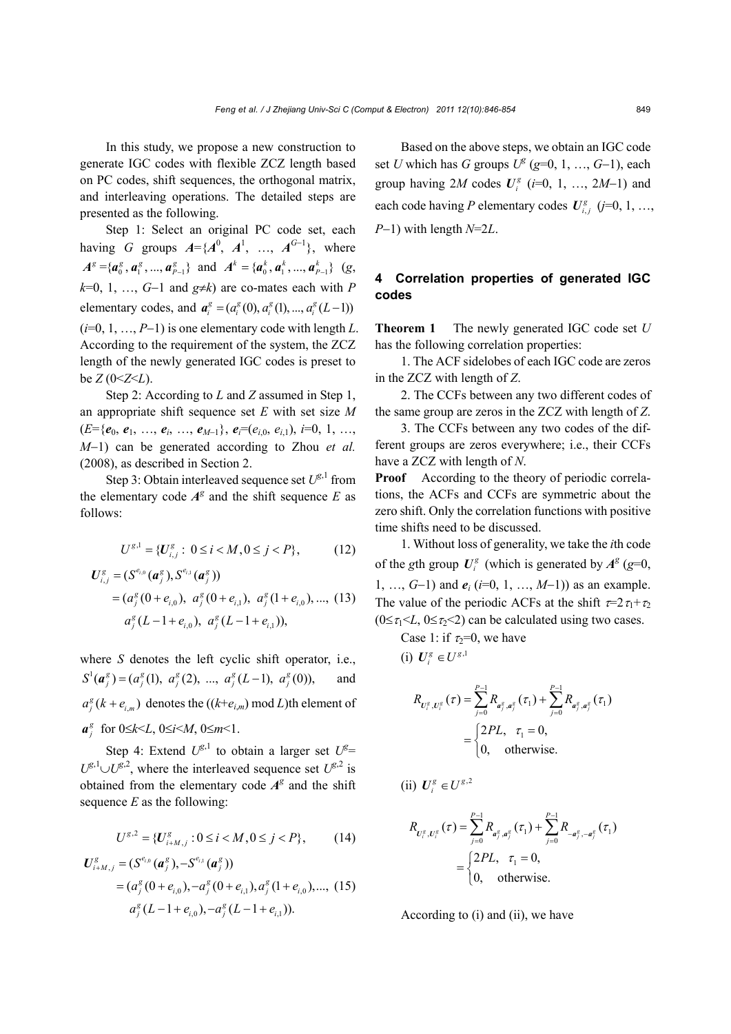In this study, we propose a new construction to generate IGC codes with flexible ZCZ length based on PC codes, shift sequences, the orthogonal matrix, and interleaving operations. The detailed steps are presented as the following.

Step 1: Select an original PC code set, each having *G* groups  $A = \{A^0, A^1, ..., A^{G-1}\}$ , where  $A^g = \{ a_0^g, a_1^g, ..., a_{p-1}^g \}$  and  $A^k = \{ a_0^k, a_1^k, ..., a_{p-1}^k \}$  (g,  $k=0, 1, \ldots, G-1$  and  $g \neq k$ ) are co-mates each with *P* elementary codes, and  $a_i^g = (a_i^g(0), a_i^g(1), ..., a_i^g(L-1))$  $(i=0, 1, ..., P-1)$  is one elementary code with length *L*. According to the requirement of the system, the ZCZ length of the newly generated IGC codes is preset to  $be \, Z \, (0 \leq Z \leq L).$ 

Step 2: According to *L* and *Z* assumed in Step 1, an appropriate shift sequence set *E* with set size *M*  $(E=\{e_0, e_1, \ldots, e_i, \ldots, e_{M-1}\}, e_i=(e_{i,0}, e_{i,1}), i=0, 1, \ldots,$ *M*1) can be generated according to Zhou *et al.* (2008), as described in Section 2.

Step 3: Obtain interleaved sequence set  $U^{\mathcal{g},1}$  from the elementary code  $A^g$  and the shift sequence *E* as follows:

$$
U^{g,1} = \{U_{i,j}^g : 0 \le i < M, 0 \le j < P\},\tag{12}
$$

$$
U_{i,j}^{g} = (S^{e_{i,0}}(a_j^{g}), S^{e_{i,1}}(a_j^{g}))
$$
  
=  $(a_j^{g}(0 + e_{i,0}), a_j^{g}(0 + e_{i,1}), a_j^{g}(1 + e_{i,0}), ..., (13))$   
 $a_j^{g}(L-1 + e_{i,0}), a_j^{g}(L-1 + e_{i,1})),$ 

where *S* denotes the left cyclic shift operator, i.e.,  $S^1(a_j^g) = (a_j^g(1), a_j^g(2), ..., a_j^g(L-1), a_j^g(0)),$  and  $a_j^g$  ( $k + e_{i,m}$ ) denotes the (( $k+e_{i,m}$ ) mod *L*)th element of *<i>g*<sup>*g*</sup></sup> for  $0 \le k \le L$ ,  $0 \le i \le M$ ,  $0 \le m \le 1$ .

Step 4: Extend  $U^{g,1}$  to obtain a larger set  $U^{g}$ =  $U^{g,1} \cup U^{g,2}$ , where the interleaved sequence set  $U^{g,2}$  is obtained from the elementary code  $A^g$  and the shift sequence *E* as the following:

$$
U^{g,2} = \{U^g_{i+M,j} : 0 \le i < M, 0 \le j < P\},\tag{14}
$$

$$
U_{i+M,j}^g = (S^{e_{i,0}}(a_j^g), -S^{e_{i,1}}(a_j^g))
$$
  
=  $(a_j^g(0+e_{i,0}), -a_j^g(0+e_{i,1}), a_j^g(1+e_{i,0}),..., (15))$   
 $a_j^g(L-1+e_{i,0}), -a_j^g(L-1+e_{i,1})).$ 

Based on the above steps, we obtain an IGC code set *U* which has *G* groups  $U^g$  ( $g=0, 1, ..., G-1$ ), each group having 2*M* codes  $U_i^g$  ( $i=0, 1, ..., 2M-1$ ) and each code having *P* elementary codes  $U_{i,j}^g$  (*j*=0, 1, ...,  $P-1$ ) with length  $N=2L$ .

# **4 Correlation properties of generated IGC codes**

**Theorem 1** The newly generated IGC code set *U* has the following correlation properties:

1. The ACF sidelobes of each IGC code are zeros in the ZCZ with length of *Z*.

2. The CCFs between any two different codes of the same group are zeros in the ZCZ with length of *Z*.

3. The CCFs between any two codes of the different groups are zeros everywhere; i.e., their CCFs have a ZCZ with length of *N*.

**Proof** According to the theory of periodic correlations, the ACFs and CCFs are symmetric about the zero shift. Only the correlation functions with positive time shifts need to be discussed.

1. Without loss of generality, we take the *i*th code of the *g*th group  $U_i^g$  (which is generated by  $A^g$  (*g*=0, 1, …,  $G-1$ ) and  $e_i$  ( $i=0, 1, ..., M-1$ )) as an example. The value of the periodic ACFs at the shift  $\tau=2\tau_1+\tau_2$  $(0 \le \tau_1 \le L, 0 \le \tau_2 \le 2)$  can be calculated using two cases.

Case 1: if  $\tau_2=0$ , we have (i)  $U_i^g \in U^{g,1}$ 

$$
R_{U_i^g, U_i^g}(\tau) = \sum_{j=0}^{P-1} R_{a_j^g, a_j^g}(\tau_1) + \sum_{j=0}^{P-1} R_{a_j^g, a_j^g}(\tau_1)
$$
  
= 
$$
\begin{cases} 2PL, & \tau_1 = 0, \\ 0, & \text{otherwise.} \end{cases}
$$

 $(iii) U_i^g \in U^{g,2}$ 

$$
R_{U_i^g, U_i^g}(\tau) = \sum_{j=0}^{P-1} R_{a_j^g, a_j^g}(\tau_1) + \sum_{j=0}^{P-1} R_{-a_j^g, -a_j^g}(\tau_1)
$$
  
= 
$$
\begin{cases} 2PL, & \tau_1 = 0, \\ 0, & \text{otherwise.} \end{cases}
$$

According to (i) and (ii), we have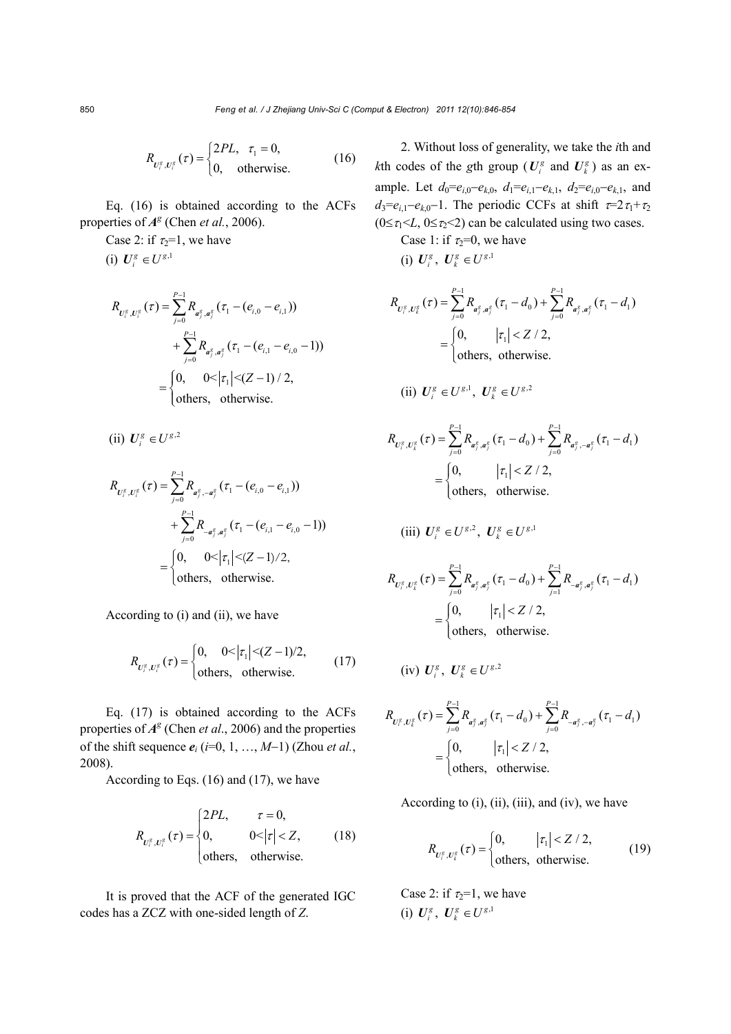$$
R_{U_i^g, U_i^g}(\tau) = \begin{cases} 2PL, & \tau_1 = 0, \\ 0, & \text{otherwise.} \end{cases}
$$
 (16)

Eq. (16) is obtained according to the ACFs properties of  $A^g$  (Chen *et al.*, 2006).

Case 2: if  $\tau_2=1$ , we have

(i)  $U_i^g \in U^{g,1}$ 

$$
R_{U_i^s, U_i^s}(\tau) = \sum_{j=0}^{P-1} R_{a_j^s, a_j^s}(\tau_1 - (e_{i,0} - e_{i,1}))
$$
  
+ 
$$
\sum_{j=0}^{P-1} R_{a_j^s, a_j^s}(\tau_1 - (e_{i,1} - e_{i,0} - 1))
$$
  
= 
$$
\begin{cases} 0, & 0 < |\tau_1| < (Z - 1) / 2, \\ \text{others}, & \text{otherwise.} \end{cases}
$$

 $(iii) U_i^g \in U^{g,2}$ 

$$
R_{U_i^g, U_i^g}(\tau) = \sum_{j=0}^{P-1} R_{a_j^g, -a_j^g}(\tau_1 - (e_{i,0} - e_{i,1}))
$$
  
+ 
$$
\sum_{j=0}^{P-1} R_{-a_j^g, a_j^g}(\tau_1 - (e_{i,1} - e_{i,0} - 1))
$$
  
= 
$$
\begin{cases} 0, & 0 < |\tau_1| < (Z - 1)/2, \\ \text{others}, & \text{otherwise.} \end{cases}
$$

According to (i) and (ii), we have

$$
R_{U_i^g, U_i^g}(\tau) = \begin{cases} 0, & 0 < |\tau_1| < (Z - 1)/2, \\ \text{others}, & \text{otherwise.} \end{cases}
$$
(17)

Eq. (17) is obtained according to the ACFs properties of  $A^g$  (Chen *et al.*, 2006) and the properties of the shift sequence  $e_i$  ( $i=0, 1, ..., M-1$ ) (Zhou *et al.*, 2008).

According to Eqs. (16) and (17), we have

$$
R_{U_i^g, U_i^g}(\tau) = \begin{cases} 2PL, & \tau = 0, \\ 0, & 0 < |\tau| < Z, \\ \text{others, otherwise.} \end{cases}
$$
 (18)

It is proved that the ACF of the generated IGC codes has a ZCZ with one-sided length of *Z*.

2. Without loss of generality, we take the *i*th and *k*th codes of the *g*th group ( $U_i^g$  and  $U_i^g$ ) as an example. Let  $d_0 = e_{i,0} - e_{k,0}$ ,  $d_1 = e_{i,1} - e_{k,1}$ ,  $d_2 = e_{i,0} - e_{k,1}$ , and  $d_3=e_{i,1}-e_{k,0}-1$ . The periodic CCFs at shift  $\tau=2\tau_1+\tau_2$  $(0 \leq \tau_1 \leq L, 0 \leq \tau_2 \leq 2)$  can be calculated using two cases.

Case 1: if  $\tau_2=0$ , we have (i)  $U_i^g$ ,  $U_i^g \in U^{g,1}$ 

$$
R_{U_{i}^{g}, U_{k}^{g}}(\tau) = \sum_{j=0}^{P-1} R_{a_{j}^{g}, a_{j}^{g}}(\tau_{1} - d_{0}) + \sum_{j=0}^{P-1} R_{a_{j}^{g}, a_{j}^{g}}(\tau_{1} - d_{1})
$$
  
= 
$$
\begin{cases} 0, & |\tau_{1}| < Z / 2, \\ \text{others, otherwise.} \end{cases} (t_{1} - d_{1})
$$

(ii) 
$$
U_i^g \in U^{g,1}, U_k^g \in U^{g,2}
$$

$$
R_{U_j^g, U_k^g}(\tau) = \sum_{j=0}^{P-1} R_{a_j^g, a_j^g}(\tau_1 - d_0) + \sum_{j=0}^{P-1} R_{a_j^g, -a_j^g}(\tau_1 - d_1)
$$
  
= 
$$
\begin{cases} 0, & |\tau_1| < Z / 2, \\ \text{others}, & \text{otherwise.} \end{cases} (7.1)
$$

(iii) 
$$
U_i^g \in U^{g,2}
$$
,  $U_k^g \in U^{g,1}$ 

$$
R_{U_i^g, U_k^g}(\tau) = \sum_{j=0}^{P-1} R_{a_j^g, a_j^g}(\tau_1 - d_0) + \sum_{j=1}^{P-1} R_{-a_j^g, a_j^g}(\tau_1 - d_1)
$$
  
= 
$$
\begin{cases} 0, & |\tau_1| < Z / 2, \\ \text{others}, & \text{otherwise.} \end{cases}
$$

$$
(iv) U_i^g, U_k^g \in U^{g,2}
$$

$$
R_{U_i^g, U_k^g}(\tau) = \sum_{j=0}^{P-1} R_{a_j^g, a_j^g}(\tau_1 - d_0) + \sum_{j=0}^{P-1} R_{-a_j^g, -a_j^g}(\tau_1 - d_1)
$$
  
= 
$$
\begin{cases} 0, & |\tau_1| < Z / 2, \\ \text{others}, & \text{otherwise.} \end{cases}
$$

According to (i), (ii), (iii), and (iv), we have

$$
R_{U_i^g, U_k^g}(\tau) = \begin{cases} 0, & |\tau_1| < Z / 2, \\ \text{others, otherwise.} \end{cases}
$$
 (19)

Case 2: if  $\tau_2=1$ , we have (i)  $U_i^g$ ,  $U_i^g \in U^{g,1}$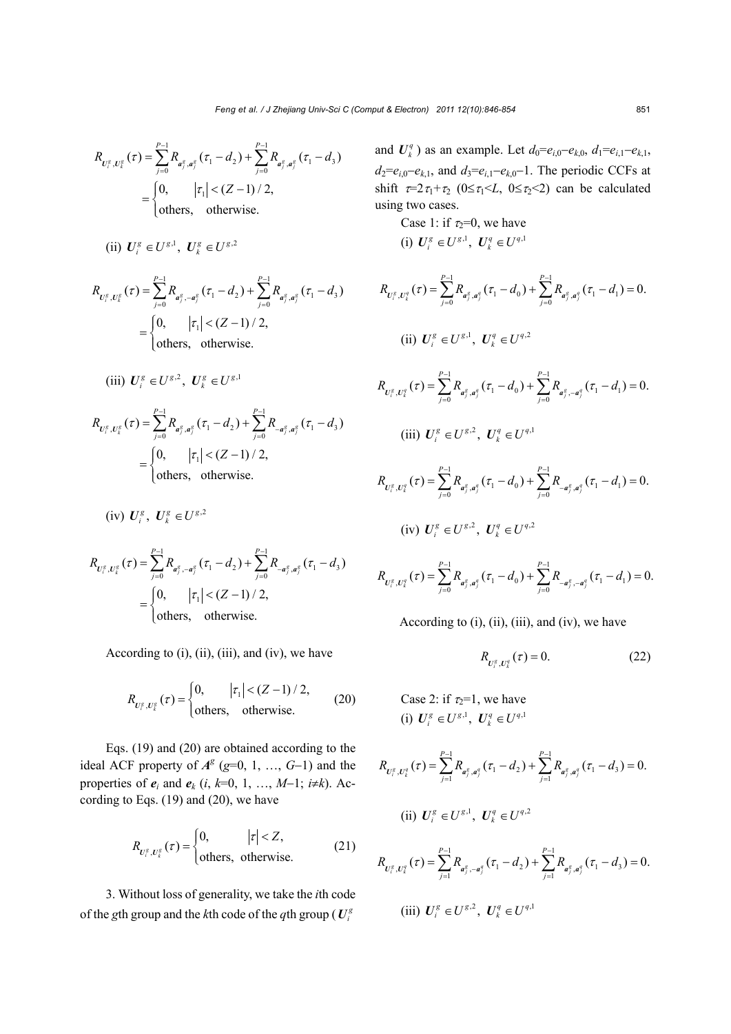$$
R_{U_{i}^{g}, U_{k}^{g}}(\tau) = \sum_{j=0}^{P-1} R_{a_{j}^{g}, a_{j}^{g}}(\tau_{1} - d_{2}) + \sum_{j=0}^{P-1} R_{a_{j}^{g}, a_{j}^{g}}(\tau_{1} - d_{3})
$$
  
= 
$$
\begin{cases} 0, & |\tau_{1}| < (Z-1)/2, \\ \text{others}, & \text{otherwise.} \end{cases}
$$

(ii) 
$$
U_i^g \in U^{g,1}
$$
,  $U_k^g \in U^{g,2}$ 

$$
R_{U_i^g, U_k^g}(\tau) = \sum_{j=0}^{P-1} R_{a_j^g, -a_j^g}(\tau_1 - d_2) + \sum_{j=0}^{P-1} R_{a_j^g, a_j^g}(\tau_1 - d_3)
$$
  
= 
$$
\begin{cases} 0, & |\tau_1| < (Z-1)/2, \\ \text{others}, & \text{otherwise.} \end{cases}
$$

(iii) 
$$
U_i^g \in U^{g,2}
$$
,  $U_k^g \in U^{g,1}$ 

$$
R_{U_i^g, U_k^g}(\tau) = \sum_{j=0}^{P-1} R_{a_j^g, a_j^g}(\tau_1 - d_2) + \sum_{j=0}^{P-1} R_{-a_j^g, a_j^g}(\tau_1 - d_3)
$$
  
= 
$$
\begin{cases} 0, & |\tau_1| < (Z-1)/2, \\ \text{others}, & \text{otherwise.} \end{cases}
$$

$$
(iv) U_i^g, U_k^g \in U^{g,2}
$$

$$
R_{U_{i}^{g}, U_{k}^{g}}(\tau) = \sum_{j=0}^{P-1} R_{a_{j}^{g}, -a_{j}^{g}}(\tau_{1} - d_{2}) + \sum_{j=0}^{P-1} R_{-a_{j}^{g}, a_{j}^{g}}(\tau_{1} - d_{3})
$$
  
= 
$$
\begin{cases} 0, & |\tau_{1}| < (Z-1)/2, \\ \text{others}, & \text{otherwise.} \end{cases}
$$

According to  $(i)$ ,  $(ii)$ ,  $(iii)$ , and  $(iv)$ , we have

$$
R_{U_{i}^{g}, U_{k}^{g}}(\tau) = \begin{cases} 0, & |\tau_{1}| < (Z - 1) / 2, \\ \text{others}, & \text{otherwise.} \end{cases}
$$
 (20)

Eqs. (19) and (20) are obtained according to the ideal ACF property of  $A^g$  ( $g=0, 1, ..., G-1$ ) and the properties of  $e_i$  and  $e_k$  (*i*,  $k=0, 1, ..., M-1$ ;  $i \neq k$ ). According to Eqs. (19) and (20), we have

$$
R_{U_i^g, U_k^g}(\tau) = \begin{cases} 0, & |\tau| < Z, \\ \text{others, otherwise.} \end{cases}
$$
 (21)

3. Without loss of generality, we take the *i*th code of the *g*th group and the *k*th code of the *q*th group ( $U_i^g$ )

and  $U_k^q$ ) as an example. Let  $d_0 = e_{i,0} - e_{k,0}, d_1 = e_{i,1} - e_{k,1}$ ,  $d_2 = e_{i,0} - e_{k,1}$ , and  $d_3 = e_{i,1} - e_{k,0} - 1$ . The periodic CCFs at shift  $\tau=2\tau_1+\tau_2$  ( $0\leq \tau_1 \leq L$ ,  $0\leq \tau_2 \leq 2$ ) can be calculated using two cases.

Case 1: if  $\tau_2=0$ , we have (i)  $U_i^g \in U^{g,1}, U_k^q \in U^{q,1}$ 

$$
R_{U_{i}^{g},U_{k}^{g}}(\tau) = \sum_{j=0}^{P-1} R_{a_{j}^{g},a_{j}^{g}}(\tau_{1} - d_{0}) + \sum_{j=0}^{P-1} R_{a_{j}^{g},a_{j}^{g}}(\tau_{1} - d_{1}) = 0.
$$
  
\n(ii)  $U_{i}^{g} \in U^{g,1}, U_{k}^{g} \in U^{g,2}$   
\n
$$
R_{U_{i}^{g},U_{k}^{g}}(\tau) = \sum_{j=0}^{P-1} R_{a_{j}^{g},a_{j}^{g}}(\tau_{1} - d_{0}) + \sum_{j=0}^{P-1} R_{a_{j}^{g},-a_{j}^{g}}(\tau_{1} - d_{1}) = 0.
$$

(iii) 
$$
U_i^g \in U^{g,2}
$$
,  $U_k^q \in U^{q,1}$ 

$$
R_{U_i^g, U_k^q}(\tau) = \sum_{j=0}^{P-1} R_{a_j^g, a_j^q}(\tau_1 - d_0) + \sum_{j=0}^{P-1} R_{-a_j^g, a_j^q}(\tau_1 - d_1) = 0.
$$
  
(iv)  $U_i^g \in U^{g,2}$ ,  $U_k^q \in U^{g,2}$ 

$$
R_{U_i^g, U_k^q}(\tau) = \sum_{j=0}^{P-1} R_{a_j^g, a_j^q}(\tau_1 - d_0) + \sum_{j=0}^{P-1} R_{-a_j^g, -a_j^q}(\tau_1 - d_1) = 0.
$$

According to (i), (ii), (iii), and (iv), we have

$$
R_{U_i^g, U_k^g}(\tau) = 0.
$$
 (22)

Case 2: if  $\tau_2=1$ , we have (i)  $U_i^g \in U^{g,1}, U_k^q \in U^{q,1}$ 

$$
R_{U_i^g, U_i^q}(\tau) = \sum_{j=1}^{P-1} R_{a_j^g, a_j^q}(\tau_1 - d_2) + \sum_{j=1}^{P-1} R_{a_j^g, a_j^q}(\tau_1 - d_3) = 0.
$$
  
(ii)  $U_i^g \in U^{g,1}, \ U_k^q \in U^{g,2}$ 

$$
R_{U_i^g, U_k^g}(\tau) = \sum_{j=1}^{P-1} R_{a_j^g, -a_j^g}(\tau_1 - d_2) + \sum_{j=1}^{P-1} R_{a_j^g, a_j^g}(\tau_1 - d_3) = 0.
$$
  
(iii)  $U_i^g \in U^{g, 2}$ ,  $U_k^g \in U^{g, 1}$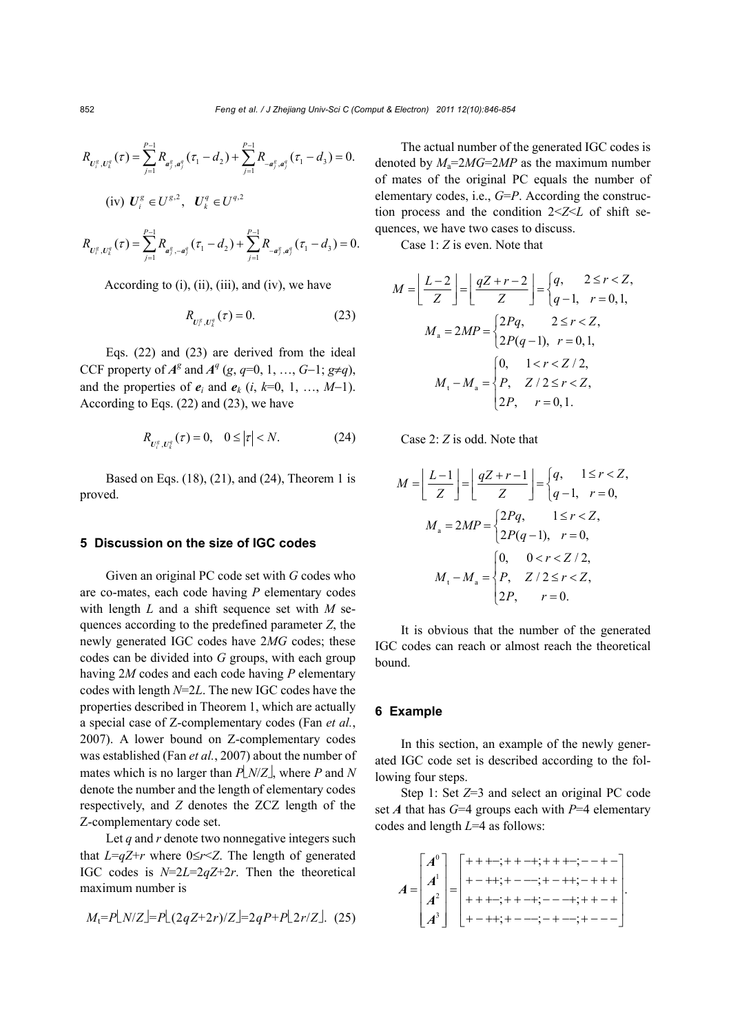$$
R_{U_i^g, U_k^q}(\tau) = \sum_{j=1}^{P-1} R_{a_j^g, a_j^q}(\tau_1 - d_2) + \sum_{j=1}^{P-1} R_{-a_j^g, a_j^q}(\tau_1 - d_3) = 0.
$$
  
(iv)  $U_i^g \in U^{g,2}$ ,  $U_k^q \in U^{g,2}$ 

$$
R_{U_j^g, U_k^q}(\tau) = \sum_{j=1}^{p-1} R_{a_j^g, -a_j^q}(\tau_1 - d_2) + \sum_{j=1}^{p-1} R_{-a_j^g, a_j^q}(\tau_1 - d_3) = 0.
$$

According to  $(i)$ ,  $(ii)$ ,  $(iii)$ , and  $(iv)$ , we have

$$
R_{U_i^g, U_k^g}(\tau) = 0.
$$
 (23)

Eqs. (22) and (23) are derived from the ideal CCF property of  $A^g$  and  $A^q$  (*g*, *q*=0, 1, …, *G*-1; *g*≠*q*), and the properties of  $e_i$  and  $e_k$  (*i*,  $k=0, 1, ..., M-1$ ). According to Eqs. (22) and (23), we have

$$
R_{U_i^s, U_i^q}(\tau) = 0, \quad 0 \le |\tau| < N. \tag{24}
$$

Based on Eqs. (18), (21), and (24), Theorem 1 is proved.

## **5 Discussion on the size of IGC codes**

Given an original PC code set with *G* codes who are co-mates, each code having *P* elementary codes with length *L* and a shift sequence set with *M* sequences according to the predefined parameter *Z*, the newly generated IGC codes have 2*MG* codes; these codes can be divided into *G* groups, with each group having 2*M* codes and each code having *P* elementary codes with length *N*=2*L*. The new IGC codes have the properties described in Theorem 1, which are actually a special case of Z-complementary codes (Fan *et al.*, 2007). A lower bound on Z-complementary codes was established (Fan *et al.*, 2007) about the number of mates which is no larger than  $P[N/Z]$ , where P and N denote the number and the length of elementary codes respectively, and *Z* denotes the ZCZ length of the Z-complementary code set.

Let  $q$  and  $r$  denote two nonnegative integers such that  $L=qZ+r$  where  $0 \le r \le Z$ . The length of generated IGC codes is *N*=2*L*=2*qZ*+2*r*. Then the theoretical maximum number is

$$
M_{\rm t} = P\lfloor N/Z \rfloor = P\lfloor (2qZ + 2r)/Z \rfloor = 2qP + P\lfloor 2r/Z \rfloor. \tag{25}
$$

The actual number of the generated IGC codes is denoted by  $M_a = 2MG = 2MP$  as the maximum number of mates of the original PC equals the number of elementary codes, i.e., *G*=*P*. According the construction process and the condition 2<*Z*<*L* of shift sequences, we have two cases to discuss.

Case 1: *Z* is even. Note that

$$
M = \left[ \frac{L-2}{Z} \right] = \left[ \frac{qZ + r - 2}{Z} \right] = \begin{cases} q, & 2 \le r < Z, \\ q - 1, & r = 0, 1, \end{cases}
$$
  
\n
$$
M_a = 2MP = \begin{cases} 2Pq, & 2 \le r < Z, \\ 2P(q - 1), & r = 0, 1, \end{cases}
$$
  
\n
$$
M_t - M_a = \begin{cases} 0, & 1 < r < Z/2, \\ P, & Z/2 \le r < Z, \\ 2P, & r = 0, 1. \end{cases}
$$

Case 2: *Z* is odd. Note that

$$
M = \left\lfloor \frac{L-1}{Z} \right\rfloor = \left\lfloor \frac{qZ+r-1}{Z} \right\rfloor = \begin{cases} q, & 1 \le r < Z, \\ q-1, & r = 0, \end{cases}
$$
  

$$
M_a = 2MP = \begin{cases} 2Pq, & 1 \le r < Z, \\ 2P(q-1), & r = 0, \end{cases}
$$
  

$$
M_t - M_a = \begin{cases} 0, & 0 < r < Z/2, \\ P, & Z/2 \le r < Z, \\ 2P, & r = 0. \end{cases}
$$

It is obvious that the number of the generated IGC codes can reach or almost reach the theoretical bound.

## **6 Example**

In this section, an example of the newly generated IGC code set is described according to the following four steps.

Step 1: Set *Z*=3 and select an original PC code set *A* that has *G*=4 groups each with *P*=4 elementary codes and length *L*=4 as follows:

0 1 2 3 ;;; ;;; . ;;; ;;; *A <sup>A</sup> <sup>A</sup> A A*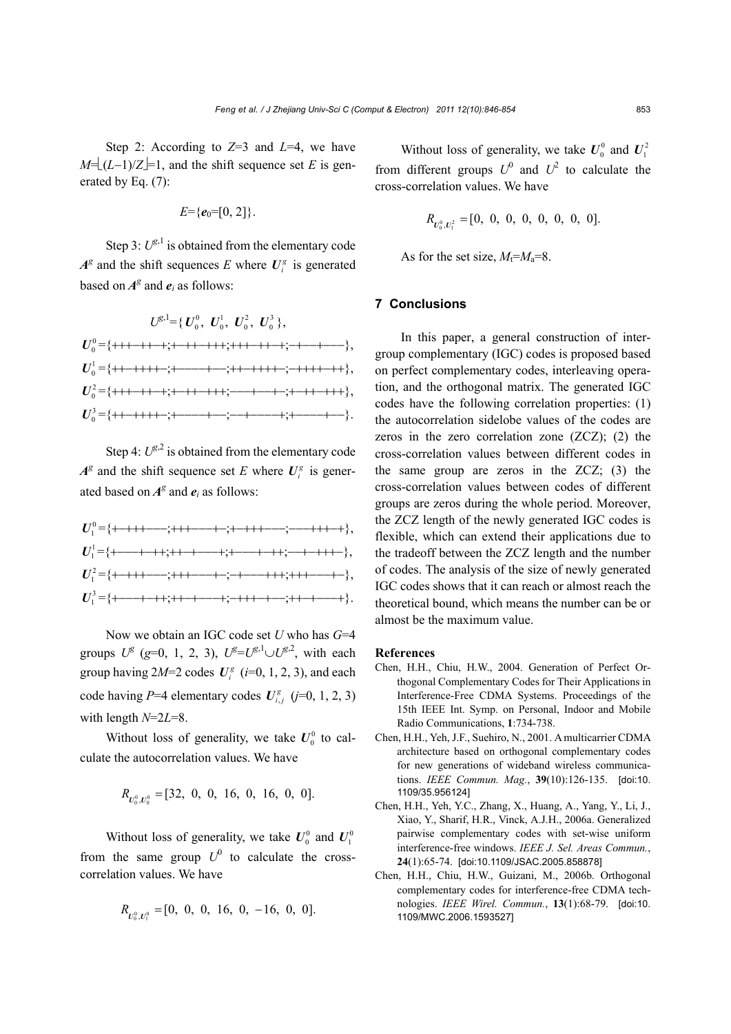Step 2: According to *Z*=3 and *L*=4, we have  $M = (L-1)/Z = 1$ , and the shift sequence set *E* is generated by Eq. (7):

$$
E = \{e_0 = [0, 2]\}.
$$

Step 3:  $U^{\mathcal{g},1}$  is obtained from the elementary code  $A^g$  and the shift sequences *E* where  $U_i^g$  is generated based on  $A^g$  and  $e_i$  as follows:

$$
U^{\mathcal{B},1} = \{ U_0^0, U_0^1, U_0^2, U_0^3 \},
$$
  
\n
$$
U_0^0 = \{ +++-++-; +-++-; ++-++-; ++-+-- \},
$$
  
\n
$$
U_0^1 = \{ ++-++++-; +---+-, ++-+++; -++-+++ \},
$$
  
\n
$$
U_0^2 = \{ ++-++-+; +-++-++; ---+--+-; ++-++-++ \},
$$
  
\n
$$
U_0^3 = \{ ++-++++-; +---+-, -+---+; ++-+-+-- \}.
$$

Step 4:  $U^{g,2}$  is obtained from the elementary code  $A^g$  and the shift sequence set *E* where  $U_i^g$  is generated based on  $A^g$  and  $e_i$  as follows:

| $U_1^0$ = {+-+++----;+++----+-;+-+++----;----+++-+},                                              |
|---------------------------------------------------------------------------------------------------|
| $U_1^1 = \{+--+++;++-+--+;+---+-++;---+-+++-\},$                                                  |
| $U_1^2 = \{$ +++++----;+++----+-;-+----+++;+++----+-},                                            |
| $U_1^3 = \{+ \cdots + + + \; + + \cdots + \; + \; + \cdots + \; + \cdots + \; + \; + \cdots + \}$ |

Now we obtain an IGC code set *U* who has *G*=4 groups  $U^g$  (g=0, 1, 2, 3),  $U^g = U^{g,1} \cup U^{g,2}$ , with each group having  $2M=2$  codes  $U_i^g$  ( $i=0, 1, 2, 3$ ), and each code having  $P=4$  elementary codes  $U_{i,j}^g$  ( $j=0, 1, 2, 3$ ) with length *N*=2*L*=8.

Without loss of generality, we take  $U_0^0$  to calculate the autocorrelation values. We have

$$
R_{U_0^0, U_0^0} = [32, 0, 0, 16, 0, 16, 0, 0].
$$

Without loss of generality, we take  $U_0^0$  and  $U_1^0$ from the same group  $U^0$  to calculate the crosscorrelation values. We have

$$
R_{U_0^0, U_1^0} = [0, 0, 0, 16, 0, -16, 0, 0].
$$

Without loss of generality, we take  $U_0^0$  and  $U_1^2$ from different groups  $U^0$  and  $U^2$  to calculate the cross-correlation values. We have

$$
R_{U_0^0, U_1^2} = [0, 0, 0, 0, 0, 0, 0, 0].
$$

As for the set size,  $M_f=M_a=8$ .

# **7 Conclusions**

In this paper, a general construction of intergroup complementary (IGC) codes is proposed based on perfect complementary codes, interleaving operation, and the orthogonal matrix. The generated IGC codes have the following correlation properties: (1) the autocorrelation sidelobe values of the codes are zeros in the zero correlation zone (ZCZ); (2) the cross-correlation values between different codes in the same group are zeros in the ZCZ; (3) the cross-correlation values between codes of different groups are zeros during the whole period. Moreover, the ZCZ length of the newly generated IGC codes is flexible, which can extend their applications due to the tradeoff between the ZCZ length and the number of codes. The analysis of the size of newly generated IGC codes shows that it can reach or almost reach the theoretical bound, which means the number can be or almost be the maximum value.

#### **References**

- Chen, H.H., Chiu, H.W., 2004. Generation of Perfect Orthogonal Complementary Codes for Their Applications in Interference-Free CDMA Systems. Proceedings of the 15th IEEE Int. Symp. on Personal, Indoor and Mobile Radio Communications, **1**:734-738.
- Chen, H.H., Yeh, J.F., Suehiro, N., 2001. A multicarrier CDMA architecture based on orthogonal complementary codes for new generations of wideband wireless communications. *IEEE Commun. Mag.*, **39**(10):126-135. [doi:10. 1109/35.956124]
- Chen, H.H., Yeh, Y.C., Zhang, X., Huang, A., Yang, Y., Li, J., Xiao, Y., Sharif, H.R., Vinck, A.J.H., 2006a. Generalized pairwise complementary codes with set-wise uniform interference-free windows. *IEEE J. Sel. Areas Commun.*, **24**(1):65-74. [doi:10.1109/JSAC.2005.858878]
- Chen, H.H., Chiu, H.W., Guizani, M., 2006b. Orthogonal complementary codes for interference-free CDMA technologies. *IEEE Wirel. Commun.*, **13**(1):68-79. [doi:10. 1109/MWC.2006.1593527]